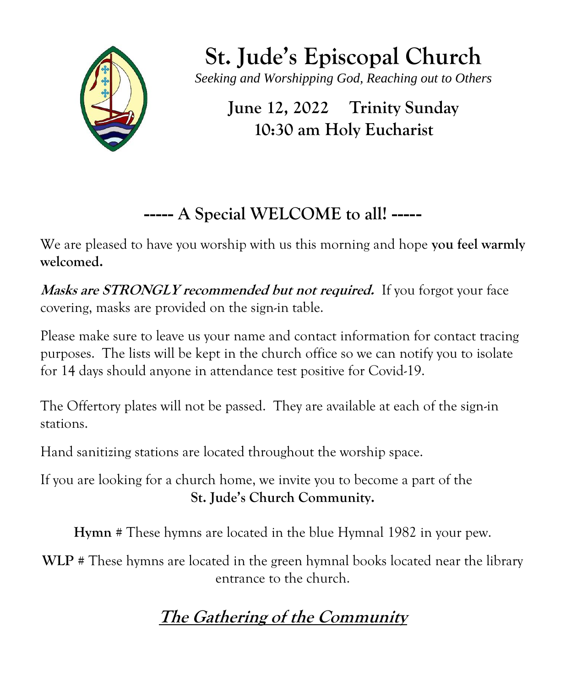

**St. Jude's Episcopal Church** *Seeking and Worshipping God, Reaching out to Others*

**June 12, 2022 Trinity Sunday 10:30 am Holy Eucharist**

# **----- A Special WELCOME to all! -----**

We are pleased to have you worship with us this morning and hope **you feel warmly welcomed.** 

**Masks are STRONGLY recommended but not required.** If you forgot your face covering, masks are provided on the sign-in table.

Please make sure to leave us your name and contact information for contact tracing purposes. The lists will be kept in the church office so we can notify you to isolate for 14 days should anyone in attendance test positive for Covid-19.

The Offertory plates will not be passed. They are available at each of the sign-in stations.

Hand sanitizing stations are located throughout the worship space.

If you are looking for a church home, we invite you to become a part of the **St. Jude's Church Community.**

**Hymn #** These hymns are located in the blue Hymnal 1982 in your pew.

**WLP #** These hymns are located in the green hymnal books located near the library entrance to the church.

# **The Gathering of the Community**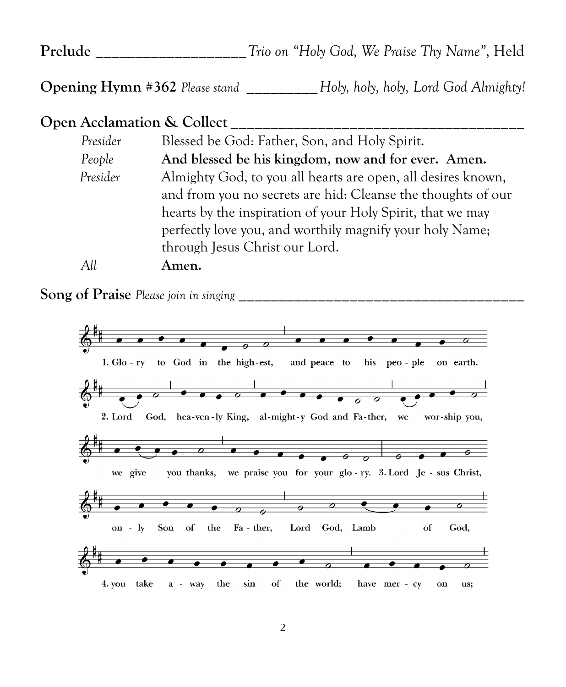**Prelude \_\_\_\_\_\_\_\_\_\_\_\_\_\_\_\_\_\_\_***Trio on "Holy God, We Praise Thy Name"*, Held

**Opening Hymn #362** *Please stand* **\_\_\_\_\_\_\_\_\_***Holy, holy, holy, Lord God Almighty!*

# **Open Acclamation & Collect \_\_\_\_\_\_\_\_\_\_\_\_\_\_\_\_\_\_\_\_\_\_\_\_\_\_\_\_\_\_\_\_\_\_\_\_\_**

| Presider | Blessed be God: Father, Son, and Holy Spirit.                |
|----------|--------------------------------------------------------------|
| People   | And blessed be his kingdom, now and for ever. Amen.          |
| Presider | Almighty God, to you all hearts are open, all desires known, |
|          | and from you no secrets are hid: Cleanse the thoughts of our |
|          | hearts by the inspiration of your Holy Spirit, that we may   |
|          | perfectly love you, and worthily magnify your holy Name;     |
|          | through Jesus Christ our Lord.                               |
| All      | Amen.                                                        |

**Song of Praise** *Please join in singing* **\_\_\_\_\_\_\_\_\_\_\_\_\_\_\_\_\_\_\_\_\_\_\_\_\_\_\_\_\_\_\_\_\_\_\_\_**

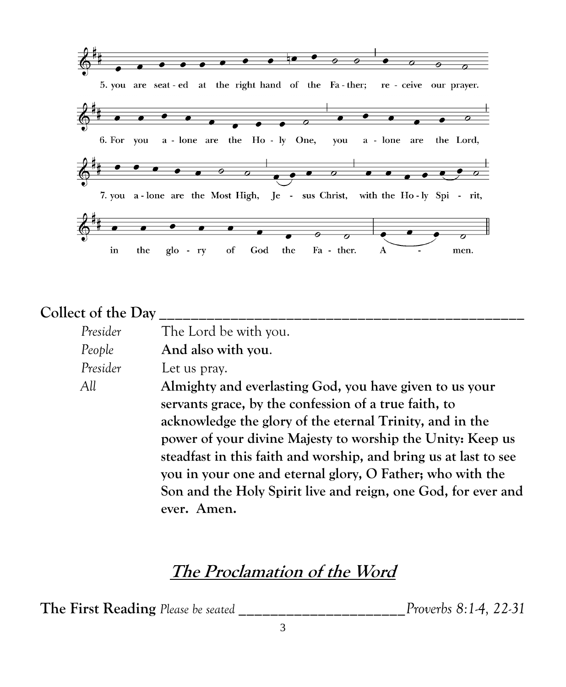

## **Collect of the Day \_\_\_\_\_\_\_\_\_\_\_\_\_\_\_\_\_\_\_\_\_\_\_\_\_\_\_\_\_\_\_\_\_\_\_\_\_\_\_\_\_\_\_\_\_\_**

| Presider | The Lord be with you.                                            |
|----------|------------------------------------------------------------------|
| People   | And also with you.                                               |
| Presider | Let us pray.                                                     |
| All      | Almighty and everlasting God, you have given to us your          |
|          | servants grace, by the confession of a true faith, to            |
|          | acknowledge the glory of the eternal Trinity, and in the         |
|          | power of your divine Majesty to worship the Unity: Keep us       |
|          | steadfast in this faith and worship, and bring us at last to see |
|          | you in your one and eternal glory, O Father; who with the        |
|          | Son and the Holy Spirit live and reign, one God, for ever and    |
|          | ever. Amen.                                                      |

# **The Proclamation of the Word**

**The First Reading** *Please be seated* **\_\_\_\_\_\_\_\_\_\_\_\_\_\_\_\_\_\_\_\_\_***Proverbs 8:1-4, 22-31*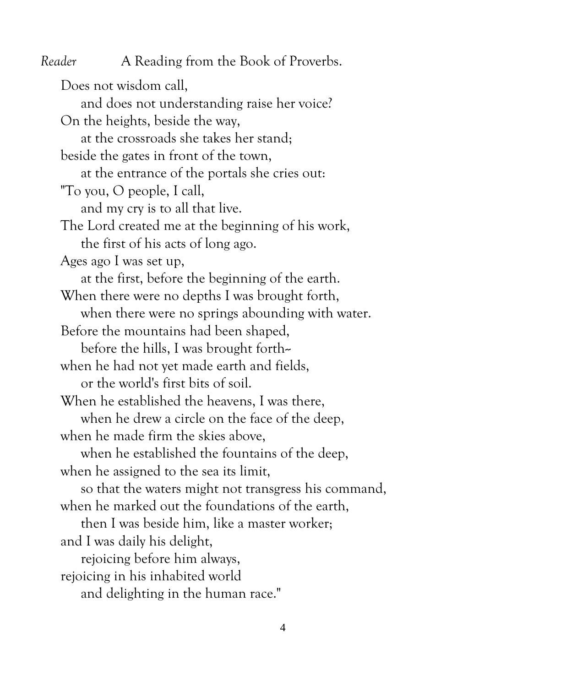*Reader* A Reading from the Book of Proverbs. Does not wisdom call, and does not understanding raise her voice? On the heights, beside the way, at the crossroads she takes her stand; beside the gates in front of the town, at the entrance of the portals she cries out: "To you, O people, I call, and my cry is to all that live. The Lord created me at the beginning of his work, the first of his acts of long ago. Ages ago I was set up, at the first, before the beginning of the earth. When there were no depths I was brought forth, when there were no springs abounding with water. Before the mountains had been shaped, before the hills, I was brought forth-when he had not yet made earth and fields, or the world's first bits of soil. When he established the heavens, I was there, when he drew a circle on the face of the deep, when he made firm the skies above, when he established the fountains of the deep, when he assigned to the sea its limit, so that the waters might not transgress his command, when he marked out the foundations of the earth, then I was beside him, like a master worker; and I was daily his delight, rejoicing before him always, rejoicing in his inhabited world and delighting in the human race."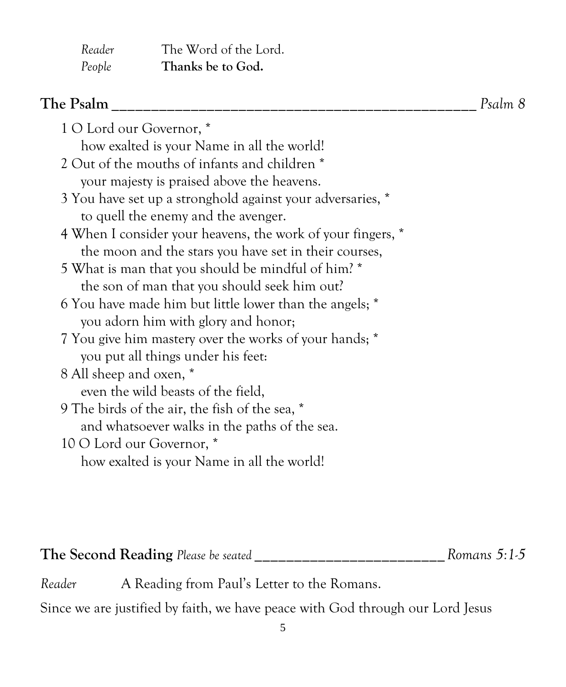| Reader | The Word of the Lord. |
|--------|-----------------------|
| People | Thanks be to God.     |

| The Psalm                                                   | Psalm 8 |
|-------------------------------------------------------------|---------|
| 1 O Lord our Governor, *                                    |         |
| how exalted is your Name in all the world!                  |         |
| 2 Out of the mouths of infants and children *               |         |
| your majesty is praised above the heavens.                  |         |
| 3 You have set up a stronghold against your adversaries, *  |         |
| to quell the enemy and the avenger.                         |         |
| 4 When I consider your heavens, the work of your fingers, * |         |
| the moon and the stars you have set in their courses,       |         |
| 5 What is man that you should be mindful of him? *          |         |
| the son of man that you should seek him out?                |         |
| 6 You have made him but little lower than the angels; *     |         |
| you adorn him with glory and honor;                         |         |
| 7 You give him mastery over the works of your hands; *      |         |
| you put all things under his feet:                          |         |
| 8 All sheep and oxen, *                                     |         |
| even the wild beasts of the field,                          |         |
| 9 The birds of the air, the fish of the sea, *              |         |
| and whatsoever walks in the paths of the sea.               |         |
| 10 O Lord our Governor, *                                   |         |
| how exalted is your Name in all the world!                  |         |

# **The Second Reading** *Please be seated* **\_\_\_\_\_\_\_\_\_\_\_\_\_\_\_\_\_\_\_\_\_\_\_\_***Romans 5:1-5*

*Reader* A Reading from Paul's Letter to the Romans.

Since we are justified by faith, we have peace with God through our Lord Jesus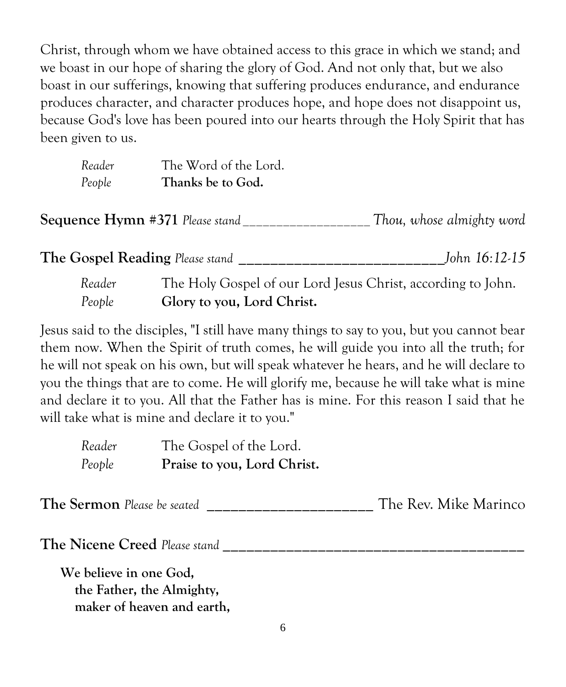Christ, through whom we have obtained access to this grace in which we stand; and we boast in our hope of sharing the glory of God. And not only that, but we also boast in our sufferings, knowing that suffering produces endurance, and endurance produces character, and character produces hope, and hope does not disappoint us, because God's love has been poured into our hearts through the Holy Spirit that has been given to us.

| Reader | The Word of the Lord. |
|--------|-----------------------|
| People | Thanks be to God.     |

**Sequence Hymn #371** *Please stand \_\_\_\_\_\_\_\_\_\_\_\_\_\_\_\_\_\_\_ Thou, whose almighty word*

**The Gospel Reading** *Please stand* **\_\_\_\_\_\_\_\_\_\_\_\_\_\_\_\_\_\_\_\_\_\_\_\_\_\_***John 16:12-15*

*Reader* The Holy Gospel of our Lord Jesus Christ, according to John. *People* **Glory to you, Lord Christ.**

Jesus said to the disciples, "I still have many things to say to you, but you cannot bear them now. When the Spirit of truth comes, he will guide you into all the truth; for he will not speak on his own, but will speak whatever he hears, and he will declare to you the things that are to come. He will glorify me, because he will take what is mine and declare it to you. All that the Father has is mine. For this reason I said that he will take what is mine and declare it to you."

| Reader | The Gospel of the Lord.     |
|--------|-----------------------------|
| People | Praise to you, Lord Christ. |

**The Sermon** *Please be seated* **\_\_\_\_\_\_\_\_\_\_\_\_\_\_\_\_\_\_\_\_\_** The Rev. Mike Marinco

**The Nicene Creed** *Please stand* **\_\_\_\_\_\_\_\_\_\_\_\_\_\_\_\_\_\_\_\_\_\_\_\_\_\_\_\_\_\_\_\_\_\_\_\_\_\_**

**We believe in one God, the Father, the Almighty, maker of heaven and earth,**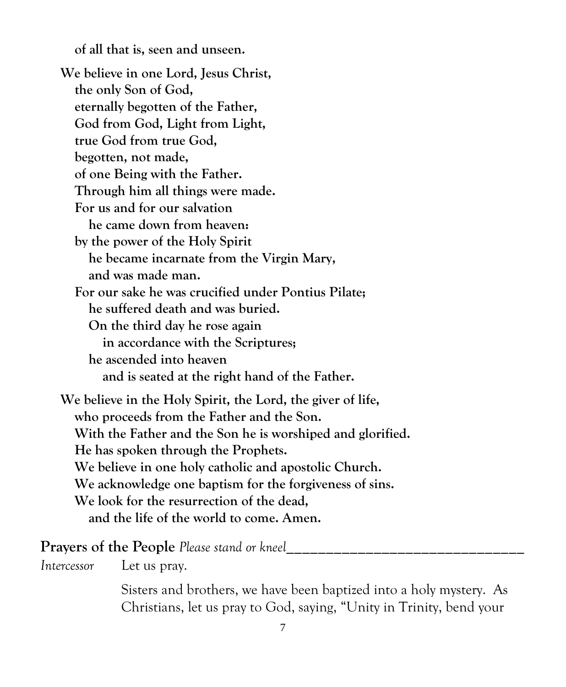**of all that is, seen and unseen.**

**We believe in one Lord, Jesus Christ, the only Son of God, eternally begotten of the Father, God from God, Light from Light, true God from true God, begotten, not made, of one Being with the Father. Through him all things were made. For us and for our salvation he came down from heaven: by the power of the Holy Spirit he became incarnate from the Virgin Mary, and was made man. For our sake he was crucified under Pontius Pilate; he suffered death and was buried. On the third day he rose again in accordance with the Scriptures; he ascended into heaven and is seated at the right hand of the Father. We believe in the Holy Spirit, the Lord, the giver of life, who proceeds from the Father and the Son. With the Father and the Son he is worshiped and glorified. He has spoken through the Prophets. We believe in one holy catholic and apostolic Church. We acknowledge one baptism for the forgiveness of sins. We look for the resurrection of the dead, and the life of the world to come. Amen.**

#### **Prayers of the People** Please stand or kneel

*Intercessor* Let us pray.

Sisters and brothers, we have been baptized into a holy mystery. As Christians, let us pray to God, saying, "Unity in Trinity, bend your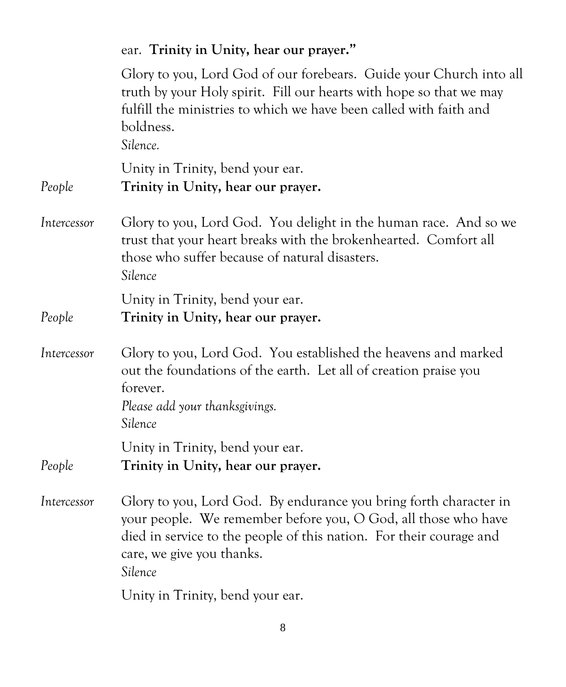# ear. **Trinity in Unity, hear our prayer."** Glory to you, Lord God of our forebears. Guide your Church into all truth by your Holy spirit. Fill our hearts with hope so that we may fulfill the ministries to which we have been called with faith and boldness. *Silence.* Unity in Trinity, bend your ear. *People* **Trinity in Unity, hear our prayer.** *Intercessor* Glory to you, Lord God. You delight in the human race. And so we trust that your heart breaks with the brokenhearted. Comfort all those who suffer because of natural disasters. *Silence* Unity in Trinity, bend your ear. *People* **Trinity in Unity, hear our prayer.** *Intercessor* Glory to you, Lord God. You established the heavens and marked out the foundations of the earth. Let all of creation praise you forever. *Please add your thanksgivings. Silence* Unity in Trinity, bend your ear. *People* **Trinity in Unity, hear our prayer.** *Intercessor* Glory to you, Lord God. By endurance you bring forth character in your people. We remember before you, O God, all those who have died in service to the people of this nation. For their courage and care, we give you thanks. *Silence* Unity in Trinity, bend your ear.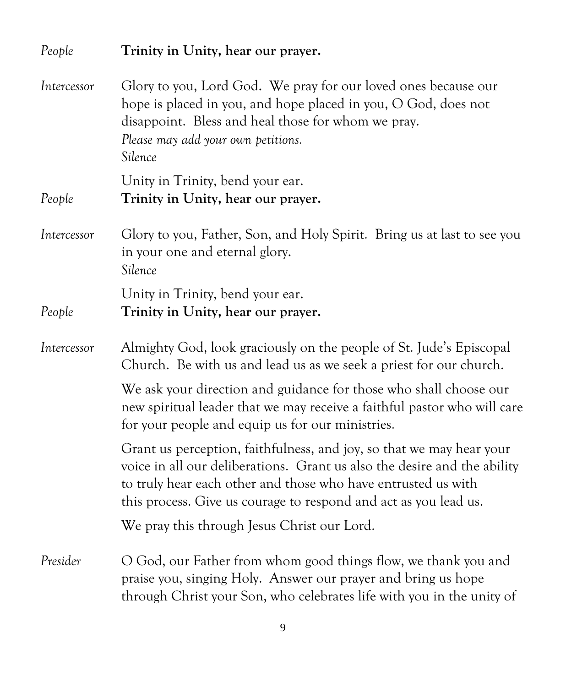| People      | Trinity in Unity, hear our prayer.                                                                                                                                                                                                                                                    |
|-------------|---------------------------------------------------------------------------------------------------------------------------------------------------------------------------------------------------------------------------------------------------------------------------------------|
| Intercessor | Glory to you, Lord God. We pray for our loved ones because our<br>hope is placed in you, and hope placed in you, O God, does not<br>disappoint. Bless and heal those for whom we pray.<br>Please may add your own petitions.<br>Silence                                               |
|             | Unity in Trinity, bend your ear.                                                                                                                                                                                                                                                      |
| People      | Trinity in Unity, hear our prayer.                                                                                                                                                                                                                                                    |
| Intercessor | Glory to you, Father, Son, and Holy Spirit. Bring us at last to see you<br>in your one and eternal glory.<br>Silence                                                                                                                                                                  |
|             | Unity in Trinity, bend your ear.                                                                                                                                                                                                                                                      |
| People      | Trinity in Unity, hear our prayer.                                                                                                                                                                                                                                                    |
| Intercessor | Almighty God, look graciously on the people of St. Jude's Episcopal<br>Church. Be with us and lead us as we seek a priest for our church.                                                                                                                                             |
|             | We ask your direction and guidance for those who shall choose our<br>new spiritual leader that we may receive a faithful pastor who will care<br>for your people and equip us for our ministries.                                                                                     |
|             | Grant us perception, faithfulness, and joy, so that we may hear your<br>voice in all our deliberations. Grant us also the desire and the ability<br>to truly hear each other and those who have entrusted us with<br>this process. Give us courage to respond and act as you lead us. |
|             | We pray this through Jesus Christ our Lord.                                                                                                                                                                                                                                           |
| Presider    | O God, our Father from whom good things flow, we thank you and<br>praise you, singing Holy. Answer our prayer and bring us hope<br>through Christ your Son, who celebrates life with you in the unity of                                                                              |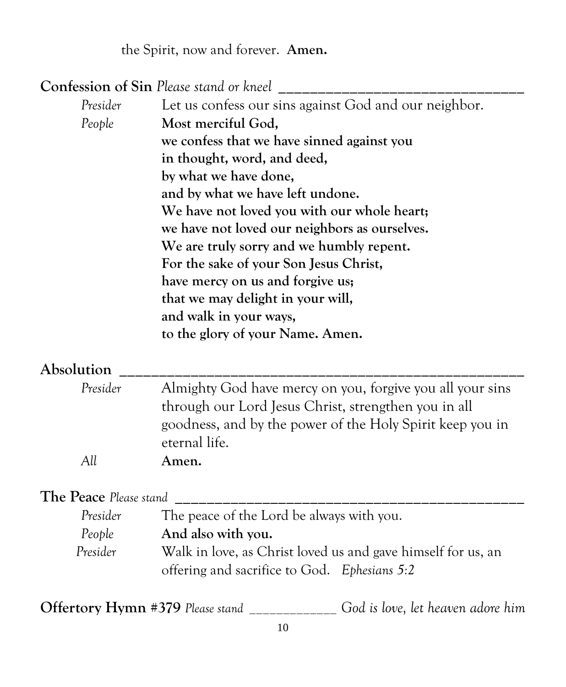the Spirit, now and forever. **Amen.**

**Confession of Sin** *Please stand or kneel* **\_\_\_\_\_\_\_\_\_\_\_\_\_\_\_\_\_\_\_\_\_\_\_\_\_\_\_\_\_\_\_**

| Presider | Let us confess our sins against God and our neighbor. |
|----------|-------------------------------------------------------|
| People   | Most merciful God,                                    |
|          | we confess that we have sinned against you            |
|          | in thought, word, and deed,                           |
|          | by what we have done,                                 |
|          | and by what we have left undone.                      |
|          | We have not loved you with our whole heart;           |
|          | we have not loved our neighbors as ourselves.         |
|          | We are truly sorry and we humbly repent.              |
|          | For the sake of your Son Jesus Christ,                |
|          | have mercy on us and forgive us;                      |
|          | that we may delight in your will,                     |
|          | and walk in your ways,                                |
|          | to the glory of your Name. Amen.                      |

#### **Absolution \_\_\_\_\_\_\_\_\_\_\_\_\_\_\_\_\_\_\_\_\_\_\_\_\_\_\_\_\_\_\_\_\_\_\_\_\_\_\_\_\_\_\_\_\_\_\_\_\_\_\_**

| Presider | Almighty God have mercy on you, forgive you all your sins |
|----------|-----------------------------------------------------------|
|          | through our Lord Jesus Christ, strengthen you in all      |
|          | goodness, and by the power of the Holy Spirit keep you in |
|          | eternal life.                                             |
| All      | Amen.                                                     |

# **The Peace** *Please stand* **\_\_\_\_\_\_\_\_\_\_\_\_\_\_\_\_\_\_\_\_\_\_\_\_\_\_\_\_\_\_\_\_\_\_\_\_\_\_\_\_\_\_\_\_**

| Presider | The peace of the Lord be always with you.                    |
|----------|--------------------------------------------------------------|
| People   | And also with you.                                           |
| Presider | Walk in love, as Christ loved us and gave himself for us, an |
|          | offering and sacrifice to God. Ephesians 5:2                 |

**Offertory Hymn #379** *Please stand \_\_\_\_\_\_\_\_\_\_\_\_\_ God is love, let heaven adore him*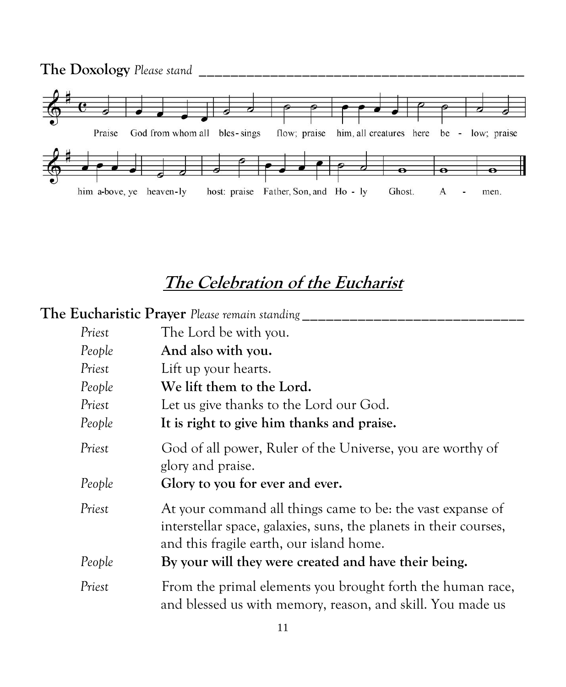

# **The Celebration of the Eucharist**

| <b>The Eucharistic Prayer</b> Please remain standing |                                                                                                                                                                             |  |
|------------------------------------------------------|-----------------------------------------------------------------------------------------------------------------------------------------------------------------------------|--|
| Priest                                               | The Lord be with you.                                                                                                                                                       |  |
| People                                               | And also with you.                                                                                                                                                          |  |
| Priest                                               | Lift up your hearts.                                                                                                                                                        |  |
| People                                               | We lift them to the Lord.                                                                                                                                                   |  |
| Priest                                               | Let us give thanks to the Lord our God.                                                                                                                                     |  |
| People                                               | It is right to give him thanks and praise.                                                                                                                                  |  |
| Priest                                               | God of all power, Ruler of the Universe, you are worthy of<br>glory and praise.                                                                                             |  |
| People                                               | Glory to you for ever and ever.                                                                                                                                             |  |
| Priest                                               | At your command all things came to be: the vast expanse of<br>interstellar space, galaxies, suns, the planets in their courses,<br>and this fragile earth, our island home. |  |
| People                                               | By your will they were created and have their being.                                                                                                                        |  |
| Priest                                               | From the primal elements you brought forth the human race,<br>and blessed us with memory, reason, and skill. You made us                                                    |  |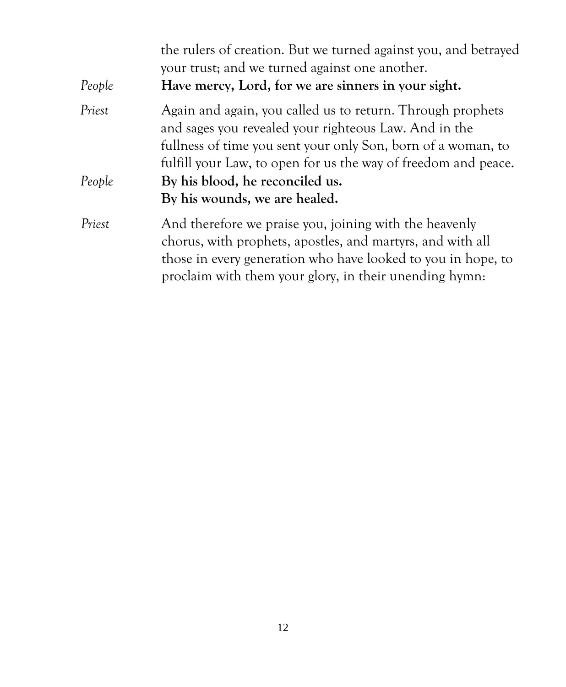| the rulers of creation. But we turned against you, and betrayed<br>your trust; and we turned against one another.<br>Have mercy, Lord, for we are sinners in your sight.                                                                       |
|------------------------------------------------------------------------------------------------------------------------------------------------------------------------------------------------------------------------------------------------|
| Again and again, you called us to return. Through prophets<br>and sages you revealed your righteous Law. And in the<br>fullness of time you sent your only Son, born of a woman, to                                                            |
| fulfill your Law, to open for us the way of freedom and peace.                                                                                                                                                                                 |
| By his blood, he reconciled us.                                                                                                                                                                                                                |
| By his wounds, we are healed.                                                                                                                                                                                                                  |
| And therefore we praise you, joining with the heavenly<br>chorus, with prophets, apostles, and martyrs, and with all<br>those in every generation who have looked to you in hope, to<br>proclaim with them your glory, in their unending hymn: |
|                                                                                                                                                                                                                                                |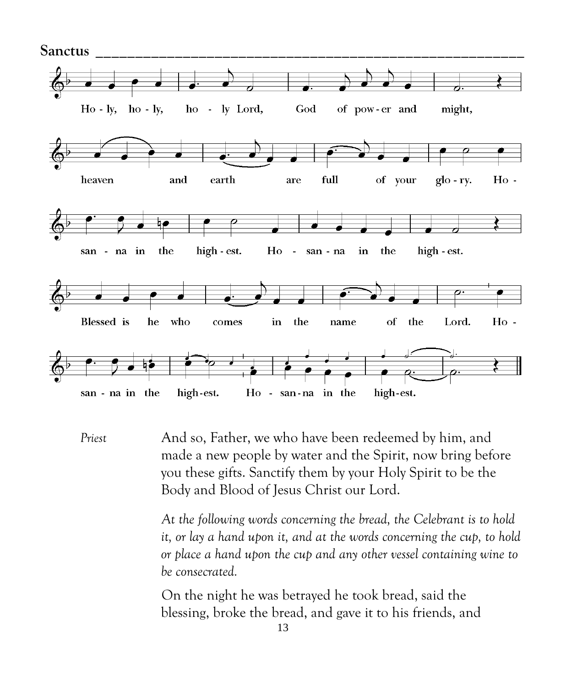

*Priest* And so, Father, we who have been redeemed by him, and made a new people by water and the Spirit, now bring before you these gifts. Sanctify them by your Holy Spirit to be the Body and Blood of Jesus Christ our Lord.

> *At the following words concerning the bread, the Celebrant is to hold it, or lay a hand upon it, and at the words concerning the cup, to hold or place a hand upon the cup and any other vessel containing wine to be consecrated.*

On the night he was betrayed he took bread, said the blessing, broke the bread, and gave it to his friends, and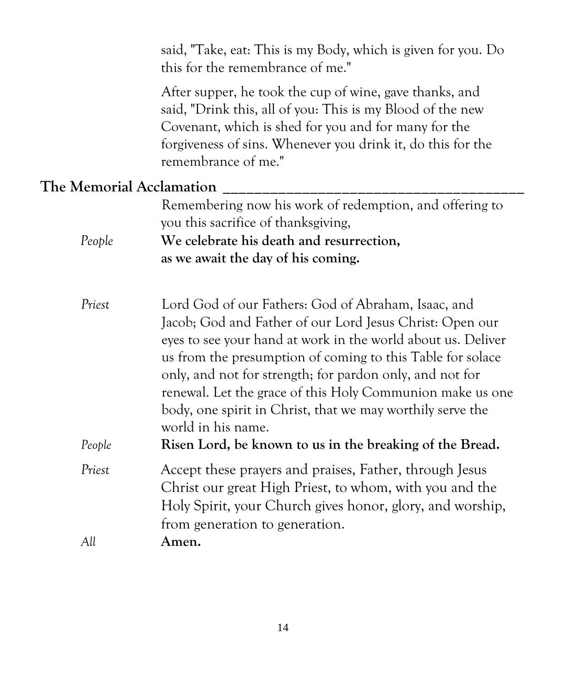said, "Take, eat: This is my Body, which is given for you. Do this for the remembrance of me."

After supper, he took the cup of wine, gave thanks, and said, "Drink this, all of you: This is my Blood of the new Covenant, which is shed for you and for many for the forgiveness of sins. Whenever you drink it, do this for the remembrance of me."

### **The Memorial Acclamation \_\_\_\_\_\_\_\_\_\_\_\_\_\_\_\_\_\_\_\_\_\_\_\_\_\_\_\_\_\_\_\_\_\_\_\_\_\_**

| Remembering now his work of redemption, and offering to |
|---------------------------------------------------------|
| you this sacrifice of thanks giving,                    |
| We celebrate his death and resurrection,                |
| as we await the day of his coming.                      |
|                                                         |

*Priest* Lord God of our Fathers: God of Abraham, Isaac, and Jacob; God and Father of our Lord Jesus Christ: Open our eyes to see your hand at work in the world about us. Deliver us from the presumption of coming to this Table for solace only, and not for strength; for pardon only, and not for renewal. Let the grace of this Holy Communion make us one body, one spirit in Christ, that we may worthily serve the world in his name. *People* **Risen Lord, be known to us in the breaking of the Bread.**

*Priest* Accept these prayers and praises, Father, through Jesus Christ our great High Priest, to whom, with you and the Holy Spirit, your Church gives honor, glory, and worship,

from generation to generation. *All* **Amen.**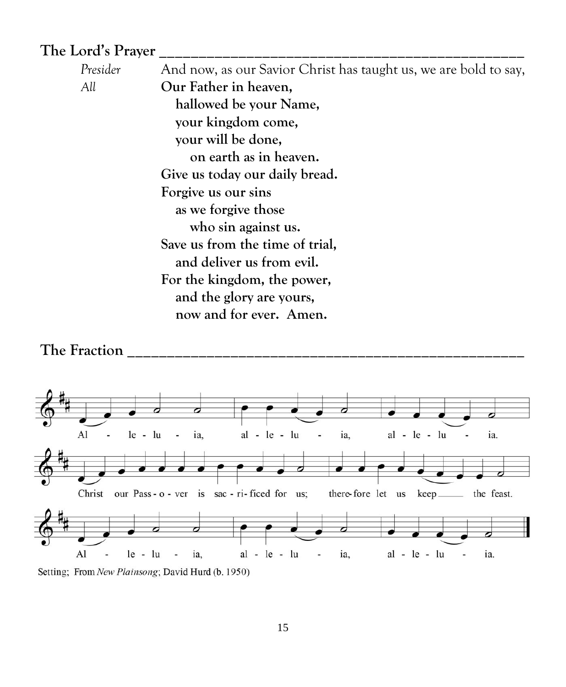#### **The Lord's Prayer \_\_\_\_\_\_\_\_\_\_\_\_\_\_\_\_\_\_\_\_\_\_\_\_\_\_\_\_\_\_\_\_\_\_\_\_\_\_\_\_\_\_\_\_\_\_**

*Presider* And now, as our Savior Christ has taught us, we are bold to say, *All* **Our Father in heaven, hallowed be your Name, your kingdom come, your will be done, on earth as in heaven. Give us today our daily bread. Forgive us our sins as we forgive those who sin against us. Save us from the time of trial, and deliver us from evil. For the kingdom, the power, and the glory are yours, now and for ever. Amen.**



Setting; From New Plainsong; David Hurd (b. 1950)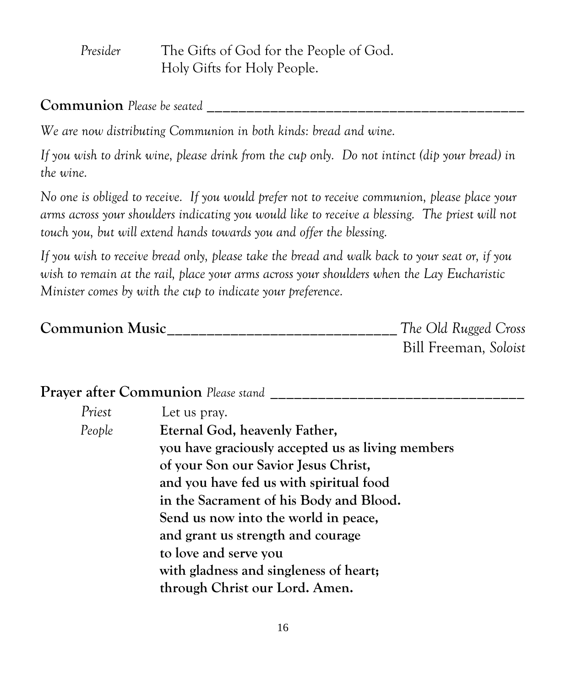*Presider* The Gifts of God for the People of God. Holy Gifts for Holy People.

**Communion** *Please be seated* **\_\_\_\_\_\_\_\_\_\_\_\_\_\_\_\_\_\_\_\_\_\_\_\_\_\_\_\_\_\_\_\_\_\_\_\_\_\_\_\_**

*We are now distributing Communion in both kinds: bread and wine.* 

*If you wish to drink wine, please drink from the cup only. Do not intinct (dip your bread) in the wine.*

*No one is obliged to receive. If you would prefer not to receive communion, please place your arms across your shoulders indicating you would like to receive a blessing. The priest will not touch you, but will extend hands towards you and offer the blessing.*

*If you wish to receive bread only, please take the bread and walk back to your seat or, if you wish to remain at the rail, place your arms across your shoulders when the Lay Eucharistic Minister comes by with the cup to indicate your preference.*

| <b>Communion Music</b> | The Old Rugged Cross  |  |
|------------------------|-----------------------|--|
|                        | Bill Freeman, Soloist |  |

**Prayer after Communion** Please stand

| Priest | Let us pray.                                      |
|--------|---------------------------------------------------|
| People | Eternal God, heavenly Father,                     |
|        | you have graciously accepted us as living members |
|        | of your Son our Savior Jesus Christ,              |
|        | and you have fed us with spiritual food           |
|        | in the Sacrament of his Body and Blood.           |
|        | Send us now into the world in peace,              |
|        | and grant us strength and courage                 |
|        | to love and serve you                             |
|        | with gladness and singleness of heart;            |
|        | through Christ our Lord. Amen.                    |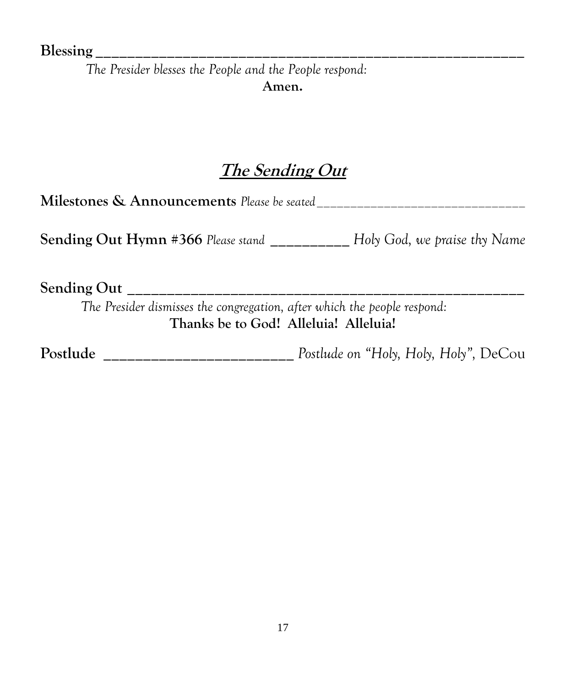**Blessing \_\_\_\_\_\_\_\_\_\_\_\_\_\_\_\_\_\_\_\_\_\_\_\_\_\_\_\_\_\_\_\_\_\_\_\_\_\_\_\_\_\_\_\_\_\_\_\_\_\_\_\_\_\_**

*The Presider blesses the People and the People respond:* **Amen.**

# **The Sending Out**

**Milestones & Announcements** *Please be seated\_\_\_\_\_\_\_\_\_\_\_\_\_\_\_\_\_\_\_\_\_\_\_\_\_\_\_\_\_\_\_* **Sending Out Hymn #366** *Please stand* **\_\_\_\_\_\_\_\_\_\_** *Holy God, we praise thy Name*

**Sending Out \_\_\_\_\_\_\_\_\_\_\_\_\_\_\_\_\_\_\_\_\_\_\_\_\_\_\_\_\_\_\_\_\_\_\_\_\_\_\_\_\_\_\_\_\_\_\_\_\_\_**

*The Presider dismisses the congregation, after which the people respond:* **Thanks be to God! Alleluia! Alleluia!**

**Postlude \_\_\_\_\_\_\_\_\_\_\_\_\_\_\_\_\_\_\_\_\_\_\_\_** *Postlude on "Holy, Holy, Holy",* DeCou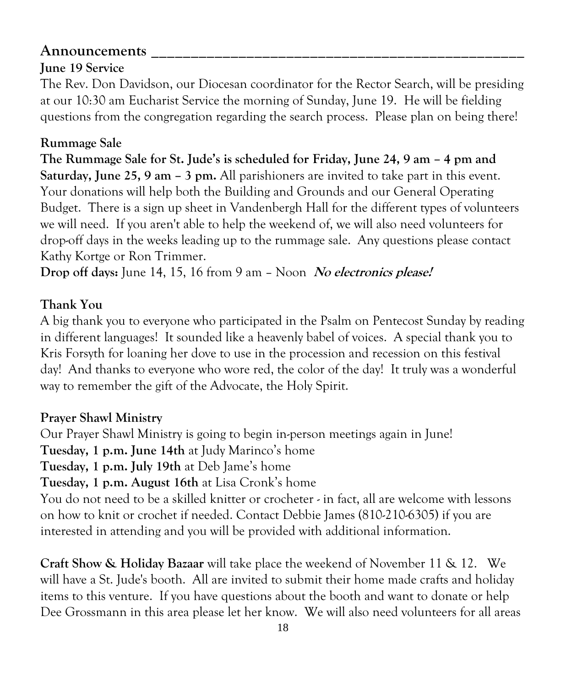## **Announcements \_\_\_\_\_\_\_\_\_\_\_\_\_\_\_\_\_\_\_\_\_\_\_\_\_\_\_\_\_\_\_\_\_\_\_\_\_\_\_\_\_\_\_\_\_\_\_**

# **June 19 Service**

The Rev. Don Davidson, our Diocesan coordinator for the Rector Search, will be presiding at our 10:30 am Eucharist Service the morning of Sunday, June 19. He will be fielding questions from the congregation regarding the search process. Please plan on being there!

## **Rummage Sale**

**The Rummage Sale for St. Jude's is scheduled for Friday, June 24, 9 am – 4 pm and Saturday, June 25, 9 am – 3 pm.** All parishioners are invited to take part in this event. Your donations will help both the Building and Grounds and our General Operating Budget. There is a sign up sheet in Vandenbergh Hall for the different types of volunteers we will need. If you aren't able to help the weekend of, we will also need volunteers for drop-off days in the weeks leading up to the rummage sale. Any questions please contact Kathy Kortge or Ron Trimmer.

**Drop off days:** June 14, 15, 16 from 9 am – Noon **No electronics please!**

### **Thank You**

A big thank you to everyone who participated in the Psalm on Pentecost Sunday by reading in different languages! It sounded like a heavenly babel of voices. A special thank you to Kris Forsyth for loaning her dove to use in the procession and recession on this festival day! And thanks to everyone who wore red, the color of the day! It truly was a wonderful way to remember the gift of the Advocate, the Holy Spirit.

#### **Prayer Shawl Ministry**

Our Prayer Shawl Ministry is going to begin in-person meetings again in June! **Tuesday, 1 p.m. June 14th** at Judy Marinco's home **Tuesday, 1 p.m. July 19th** at Deb Jame's home **Tuesday, 1 p.m. August 16th** at Lisa Cronk's home You do not need to be a skilled knitter or crocheter - in fact, all are welcome with lessons on how to knit or crochet if needed. Contact Debbie James (810-210-6305) if you are interested in attending and you will be provided with additional information.

**Craft Show & Holiday Bazaar** will take place the weekend of November 11 & 12. We will have a St. Jude's booth. All are invited to submit their home made crafts and holiday items to this venture. If you have questions about the booth and want to donate or help Dee Grossmann in this area please let her know. We will also need volunteers for all areas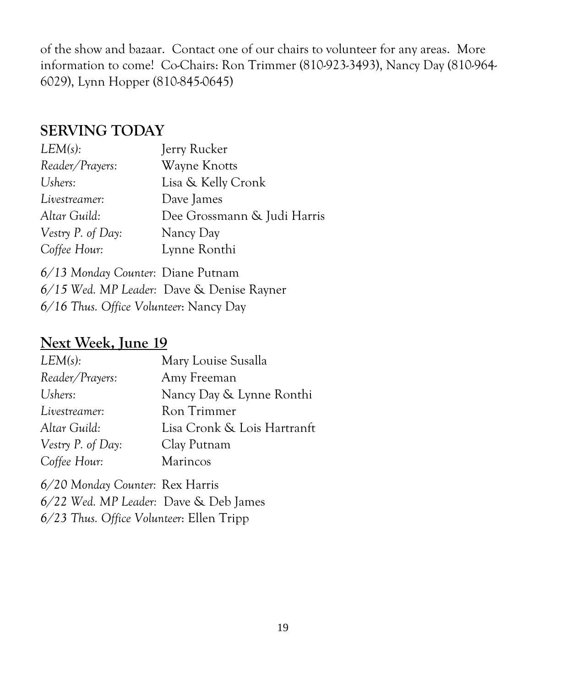of the show and bazaar. Contact one of our chairs to volunteer for any areas. More information to come! Co-Chairs: Ron Trimmer (810-923-3493), Nancy Day (810-964- 6029), Lynn Hopper (810-845-0645)

## **SERVING TODAY**

| LEM(s):           | Jerry Rucker                |
|-------------------|-----------------------------|
| Reader/Prayers:   | Wayne Knotts                |
| Ushers:           | Lisa & Kelly Cronk          |
| Livestreamer:     | Dave James                  |
| Altar Guild:      | Dee Grossmann & Judi Harris |
| Vestry P. of Day: | Nancy Day                   |
| Coffee Hour:      | Lynne Ronthi                |
|                   |                             |

*6/13 Monday Counter:* Diane Putnam *6/15 Wed. MP Leader:* Dave & Denise Rayner *6/16 Thus. Office Volunteer*: Nancy Day

## **Next Week, June 19**

| LEM(s):           | Mary Louise Susalla         |
|-------------------|-----------------------------|
| Reader/Prayers:   | Amy Freeman                 |
| Ushers:           | Nancy Day & Lynne Ronthi    |
| Livestreamer:     | Ron Trimmer                 |
| Altar Guild:      | Lisa Cronk & Lois Hartranft |
| Vestry P. of Day: | Clay Putnam                 |
| Coffee Hour:      | <b>Marincos</b>             |

*6/20 Monday Counter:* Rex Harris *6/22 Wed. MP Leader:* Dave & Deb James *6/23 Thus. Office Volunteer*: Ellen Tripp